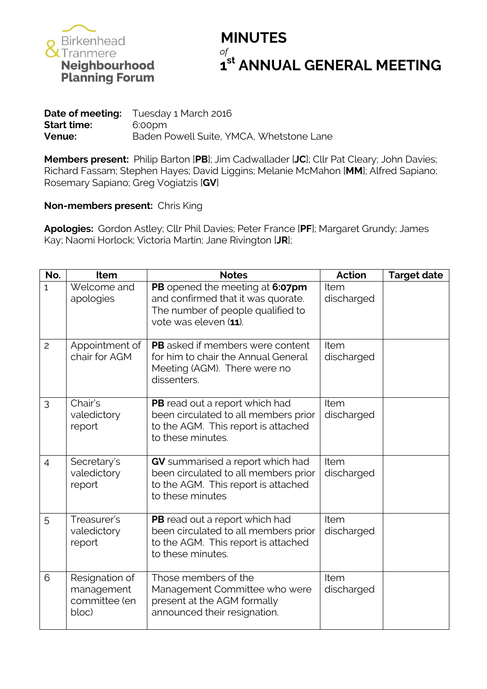

## **MINUTES st ANNUAL GENERAL MEETING**

|                    | <b>Date of meeting:</b> Tuesday 1 March 2016 |
|--------------------|----------------------------------------------|
| <b>Start time:</b> | 6:00pm                                       |
| Venue:             | Baden Powell Suite, YMCA, Whetstone Lane     |

**Members present:** Philip Barton [**PB**]; Jim Cadwallader [**JC**]; Cllr Pat Cleary; John Davies; Richard Fassam; Stephen Hayes; David Liggins; Melanie McMahon [**MM**]; Alfred Sapiano; Rosemary Sapiano; Greg Vogiatzis [**GV**]

### **Non-members present:** Chris King

**Apologies:** Gordon Astley; Cllr Phil Davies; Peter France [**PF**]; Margaret Grundy; James Kay; Naomi Horlock; Victoria Martin; Jane Rivington [**JR**];

| No.            | Item                                                   | <b>Notes</b>                                                                                                                        | <b>Action</b>      | <b>Target date</b> |
|----------------|--------------------------------------------------------|-------------------------------------------------------------------------------------------------------------------------------------|--------------------|--------------------|
| $\mathbf{1}$   | Welcome and<br>apologies                               | PB opened the meeting at 6:07pm<br>and confirmed that it was quorate.<br>The number of people qualified to<br>vote was eleven (11). | Item<br>discharged |                    |
| $\overline{c}$ | Appointment of<br>chair for AGM                        | <b>PB</b> asked if members were content<br>for him to chair the Annual General<br>Meeting (AGM). There were no<br>dissenters.       | Item<br>discharged |                    |
| 3              | Chair's<br>valedictory<br>report                       | PB read out a report which had<br>been circulated to all members prior<br>to the AGM. This report is attached<br>to these minutes.  | Item<br>discharged |                    |
| $\overline{4}$ | Secretary's<br>valedictory<br>report                   | GV summarised a report which had<br>been circulated to all members prior<br>to the AGM. This report is attached<br>to these minutes | Item<br>discharged |                    |
| 5              | Treasurer's<br>valedictory<br>report                   | PB read out a report which had<br>been circulated to all members prior<br>to the AGM. This report is attached<br>to these minutes.  | Item<br>discharged |                    |
| 6              | Resignation of<br>management<br>committee (en<br>bloc) | Those members of the<br>Management Committee who were<br>present at the AGM formally<br>announced their resignation.                | Item<br>discharged |                    |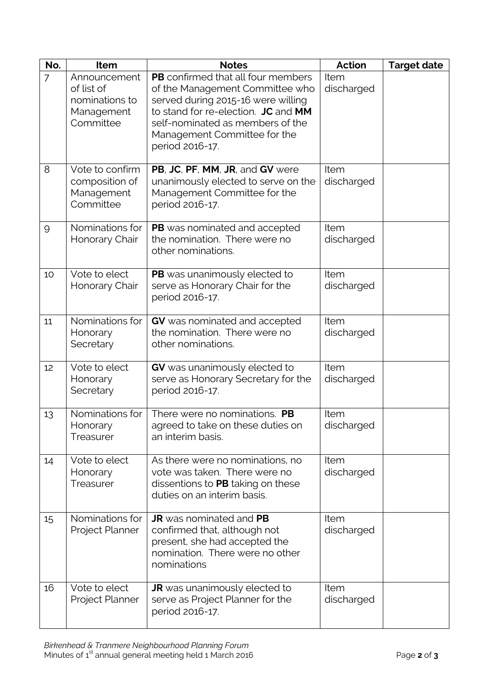| No. | Item                                                                    | <b>Notes</b>                                                                                                                                                                                                                                     | <b>Action</b>      | <b>Target date</b> |
|-----|-------------------------------------------------------------------------|--------------------------------------------------------------------------------------------------------------------------------------------------------------------------------------------------------------------------------------------------|--------------------|--------------------|
| 7   | Announcement<br>of list of<br>nominations to<br>Management<br>Committee | <b>PB</b> confirmed that all four members<br>of the Management Committee who<br>served during 2015-16 were willing<br>to stand for re-election. JC and MM<br>self-nominated as members of the<br>Management Committee for the<br>period 2016-17. | Item<br>discharged |                    |
| 8   | Vote to confirm<br>composition of<br>Management<br>Committee            | PB, JC, PF, MM, JR, and GV were<br>unanimously elected to serve on the<br>Management Committee for the<br>period 2016-17.                                                                                                                        | Item<br>discharged |                    |
| 9   | Nominations for<br>Honorary Chair                                       | PB was nominated and accepted<br>the nomination. There were no<br>other nominations.                                                                                                                                                             | Item<br>discharged |                    |
| 10  | Vote to elect<br>Honorary Chair                                         | PB was unanimously elected to<br>serve as Honorary Chair for the<br>period 2016-17.                                                                                                                                                              | Item<br>discharged |                    |
| 11  | Nominations for<br>Honorary<br>Secretary                                | GV was nominated and accepted<br>the nomination. There were no<br>other nominations.                                                                                                                                                             | Item<br>discharged |                    |
| 12  | Vote to elect<br>Honorary<br>Secretary                                  | GV was unanimously elected to<br>serve as Honorary Secretary for the<br>period 2016-17.                                                                                                                                                          | Item<br>discharged |                    |
| 13  | Nominations for<br>Honorary<br>Treasurer                                | There were no nominations. PB<br>agreed to take on these duties on<br>an interim basis.                                                                                                                                                          | Item<br>discharged |                    |
| 14  | Vote to elect<br>Honorary<br>Treasurer                                  | As there were no nominations, no<br>vote was taken. There were no<br>dissentions to PB taking on these<br>duties on an interim basis.                                                                                                            | Item<br>discharged |                    |
| 15  | Nominations for<br>Project Planner                                      | <b>JR</b> was nominated and PB<br>confirmed that, although not<br>present, she had accepted the<br>nomination. There were no other<br>nominations                                                                                                | Item<br>discharged |                    |
| 16  | Vote to elect<br>Project Planner                                        | <b>JR</b> was unanimously elected to<br>serve as Project Planner for the<br>period 2016-17.                                                                                                                                                      | Item<br>discharged |                    |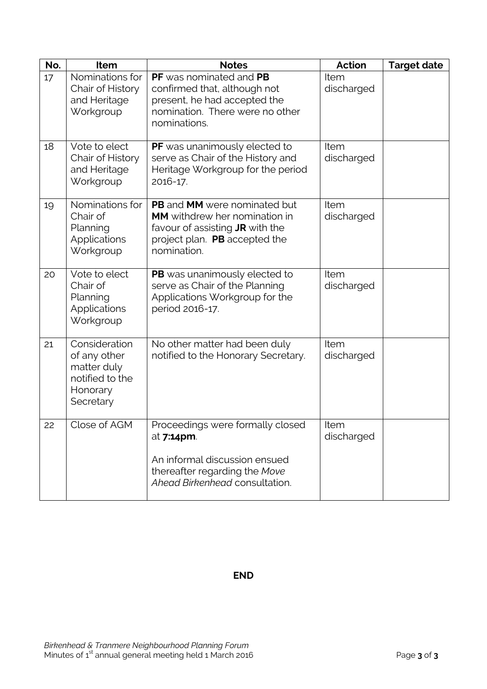| No. | Item                                                                                     | <b>Notes</b>                                                                                                                                               | Action             | <b>Target date</b> |
|-----|------------------------------------------------------------------------------------------|------------------------------------------------------------------------------------------------------------------------------------------------------------|--------------------|--------------------|
| 17  | Nominations for<br>Chair of History<br>and Heritage<br>Workgroup                         | PF was nominated and PB<br>confirmed that, although not<br>present, he had accepted the<br>nomination. There were no other<br>nominations.                 | Item<br>discharged |                    |
| 18  | Vote to elect<br>Chair of History<br>and Heritage<br>Workgroup                           | PF was unanimously elected to<br>serve as Chair of the History and<br>Heritage Workgroup for the period<br>2016-17.                                        | Item<br>discharged |                    |
| 19  | Nominations for<br>Chair of<br>Planning<br><b>Applications</b><br>Workgroup              | PB and MM were nominated but<br><b>MM</b> withdrew her nomination in<br>favour of assisting JR with the<br>project plan. PB accepted the<br>nomination.    | Item<br>discharged |                    |
| 20  | Vote to elect<br>Chair of<br>Planning<br>Applications<br>Workgroup                       | PB was unanimously elected to<br>serve as Chair of the Planning<br>Applications Workgroup for the<br>period 2016-17.                                       | Item<br>discharged |                    |
| 21  | Consideration<br>of any other<br>matter duly<br>notified to the<br>Honorary<br>Secretary | No other matter had been duly<br>notified to the Honorary Secretary.                                                                                       | Item<br>discharged |                    |
| 22  | Close of AGM                                                                             | Proceedings were formally closed<br>at <b>7:14pm</b> .<br>An informal discussion ensued<br>thereafter regarding the Move<br>Ahead Birkenhead consultation. | Item<br>discharged |                    |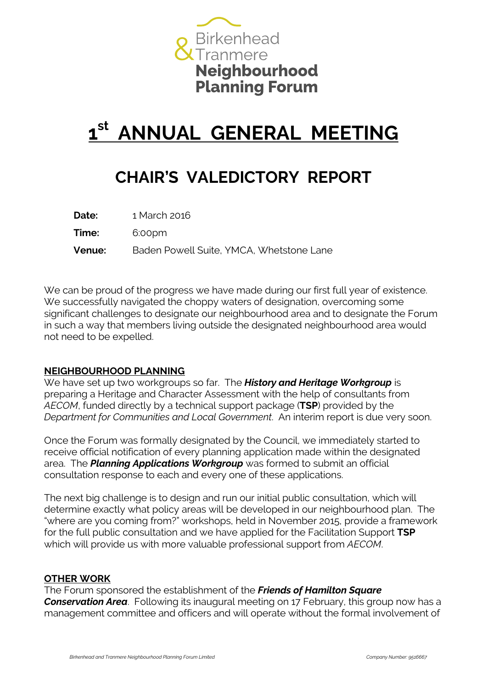

# **1 st ANNUAL GENERAL MEETING**

### **CHAIR'S VALEDICTORY REPORT**

| Date:         | 1 March 2016                             |
|---------------|------------------------------------------|
| <b>Time:</b>  | 6:00pm                                   |
| <b>Venue:</b> | Baden Powell Suite, YMCA, Whetstone Lane |

We can be proud of the progress we have made during our first full year of existence. We successfully navigated the choppy waters of designation, overcoming some significant challenges to designate our neighbourhood area and to designate the Forum in such a way that members living outside the designated neighbourhood area would not need to be expelled.

### **NEIGHBOURHOOD PLANNING**

We have set up two workgroups so far. The **History and Heritage Workgroup** is preparing a Heritage and Character Assessment with the help of consultants from *AECOM*, funded directly by a technical support package (**TSP**) provided by the *Department for Communities and Local Government*. An interim report is due very soon.

Once the Forum was formally designated by the Council, we immediately started to receive official notification of every planning application made within the designated area. The *Planning Applications Workgroup* was formed to submit an official consultation response to each and every one of these applications.

The next big challenge is to design and run our initial public consultation, which will determine exactly what policy areas will be developed in our neighbourhood plan. The "where are you coming from?" workshops, held in November 2015, provide a framework for the full public consultation and we have applied for the Facilitation Support **TSP**  which will provide us with more valuable professional support from *AECOM*.

#### **OTHER WORK**

The Forum sponsored the establishment of the *Friends of Hamilton Square* 

*Conservation Area*. Following its inaugural meeting on 17 February, this group now has a management committee and officers and will operate without the formal involvement of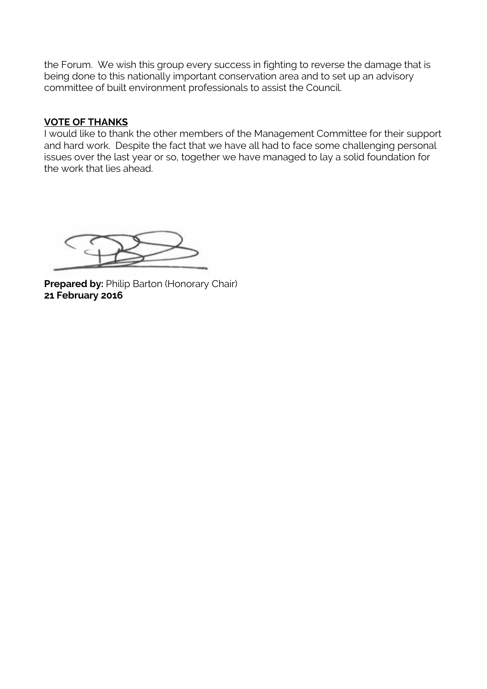the Forum. We wish this group every success in fighting to reverse the damage that is being done to this nationally important conservation area and to set up an advisory committee of built environment professionals to assist the Council.

### **VOTE OF THANKS**

I would like to thank the other members of the Management Committee for their support and hard work. Despite the fact that we have all had to face some challenging personal issues over the last year or so, together we have managed to lay a solid foundation for the work that lies ahead.

**Prepared by: Philip Barton (Honorary Chair) 21 February 2016**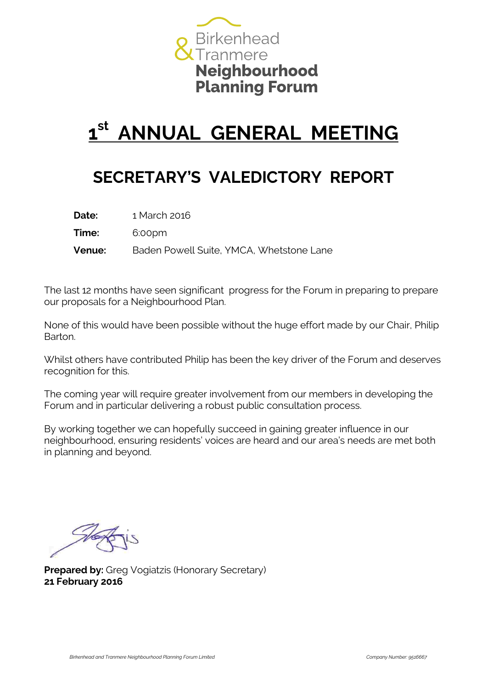

# **1 st ANNUAL GENERAL MEETING**

### **SECRETARY'S VALEDICTORY REPORT**

| Date:         | 1 March 2016                             |
|---------------|------------------------------------------|
| Time:         | 6:00pm                                   |
| <b>Venue:</b> | Baden Powell Suite, YMCA, Whetstone Lane |

The last 12 months have seen significant progress for the Forum in preparing to prepare our proposals for a Neighbourhood Plan.

None of this would have been possible without the huge effort made by our Chair, Philip Barton.

Whilst others have contributed Philip has been the key driver of the Forum and deserves recognition for this.

The coming year will require greater involvement from our members in developing the Forum and in particular delivering a robust public consultation process.

By working together we can hopefully succeed in gaining greater influence in our neighbourhood, ensuring residents' voices are heard and our area's needs are met both in planning and beyond.

**Prepared by:** Greg Vogiatzis (Honorary Secretary) **21 February 2016**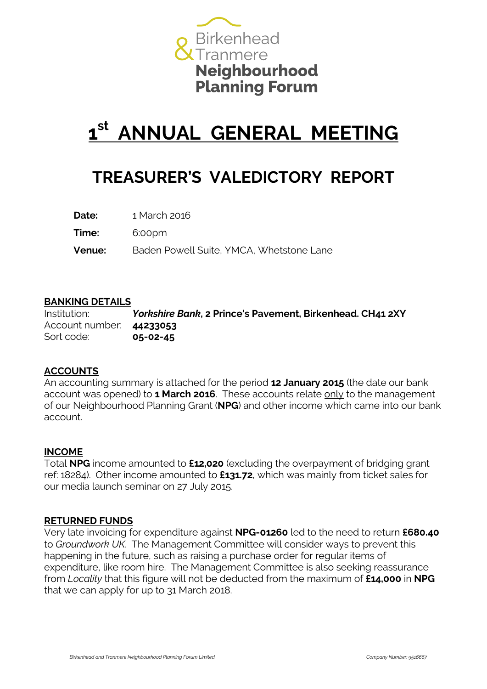

# **1 st ANNUAL GENERAL MEETING**

### **TREASURER'S VALEDICTORY REPORT**

**Date:** 1 March 2016

**Time:** 6:00pm

**Venue:** Baden Powell Suite, YMCA, Whetstone Lane

### **BANKING DETAILS**

Institution: *Yorkshire Bank***, 2 Prince's Pavement, Birkenhead. CH41 2XY** Account number: **44233053** Sort code: **05-02-45**

### **ACCOUNTS**

An accounting summary is attached for the period **12 January 2015** (the date our bank account was opened) to **1 March 2016**. These accounts relate only to the management of our Neighbourhood Planning Grant (**NPG**) and other income which came into our bank account.

### **INCOME**

Total **NPG** income amounted to **£12,020** (excluding the overpayment of bridging grant ref: 18284). Other income amounted to **£131.72**, which was mainly from ticket sales for our media launch seminar on 27 July 2015.

### **RETURNED FUNDS**

Very late invoicing for expenditure against **NPG-01260** led to the need to return **£680.40** to *Groundwork UK*. The Management Committee will consider ways to prevent this happening in the future, such as raising a purchase order for regular items of expenditure, like room hire. The Management Committee is also seeking reassurance from *Locality* that this figure will not be deducted from the maximum of **£14,000** in **NPG** that we can apply for up to 31 March 2018.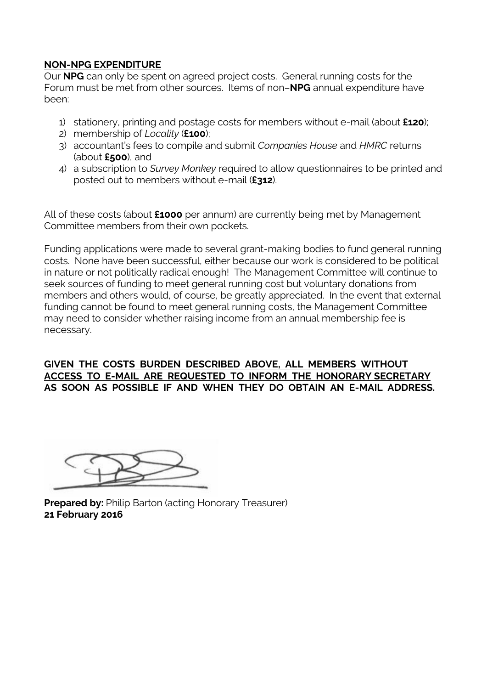### **NON-NPG EXPENDITURE**

Our **NPG** can only be spent on agreed project costs. General running costs for the Forum must be met from other sources. Items of non–**NPG** annual expenditure have been:

- 1) stationery, printing and postage costs for members without e-mail (about **£120**);
- 2) membership of *Locality* (**£100**);
- 3) accountant's fees to compile and submit *Companies House* and *HMRC* returns (about **£500**), and
- 4) a subscription to *Survey Monkey* required to allow questionnaires to be printed and posted out to members without e-mail (**£312**).

All of these costs (about **£1000** per annum) are currently being met by Management Committee members from their own pockets.

Funding applications were made to several grant-making bodies to fund general running costs. None have been successful, either because our work is considered to be political in nature or not politically radical enough! The Management Committee will continue to seek sources of funding to meet general running cost but voluntary donations from members and others would, of course, be greatly appreciated. In the event that external funding cannot be found to meet general running costs, the Management Committee may need to consider whether raising income from an annual membership fee is necessary.

### **GIVEN THE COSTS BURDEN DESCRIBED ABOVE, ALL MEMBERS WITHOUT ACCESS TO E-MAIL ARE REQUESTED TO INFORM THE HONORARY SECRETARY AS SOON AS POSSIBLE IF AND WHEN THEY DO OBTAIN AN E-MAIL ADDRESS.**

**Prepared by: Philip Barton (acting Honorary Treasurer) 21 February 2016**